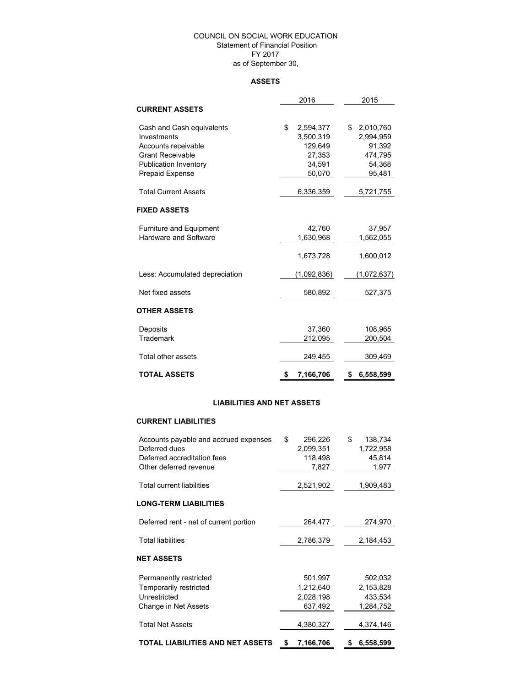### COUNCIL ON SOCIAL WORK EDUCATION Statement of Financial Position FY 2017

as of September 30,

## **ASSETS**

|                                          | 2016                         | 2015                     |  |  |
|------------------------------------------|------------------------------|--------------------------|--|--|
| <b>CURRENT ASSETS</b>                    |                              |                          |  |  |
| Cash and Cash equivalents<br>Investments | \$<br>2,594,377<br>3,500,319 | \$2,010,760<br>2,994,959 |  |  |
| Accounts receivable                      | 129,649                      | 91,392                   |  |  |
| <b>Grant Receivable</b>                  | 27,353                       | 474,795                  |  |  |
| <b>Publication Inventory</b>             | 34,591                       | 54,368                   |  |  |
| <b>Prepaid Expense</b>                   | 50,070                       | 95,481                   |  |  |
| <b>Total Current Assets</b>              | 6,336,359                    | 5,721,755                |  |  |
| <b>FIXED ASSETS</b>                      |                              |                          |  |  |
| <b>Furniture and Equipment</b>           | 42,760                       | 37,957                   |  |  |
| <b>Hardware and Software</b>             | 1,630,968                    | 1,562,055                |  |  |
|                                          | 1,673,728                    | 1,600,012                |  |  |
| Less: Accumulated depreciation           | (1,092,836)                  | (1,072,637)              |  |  |
| Net fixed assets                         | 580,892                      | 527,375                  |  |  |
| OTHER ASSETS                             |                              |                          |  |  |
| Deposits                                 | 37,360                       | 108,965                  |  |  |
| <b>Trademark</b>                         | 212,095                      | 200,504                  |  |  |
| Total other assets                       | 249,455                      | 309,469                  |  |  |
| TOTAL ASSETS                             | \$<br>7,166,706              | 6,558,599<br>S           |  |  |

### **LIABILITIES AND NET ASSETS**

#### **CURRENT LIABILITIES**

| TOTAL LIABILITIES AND NET ASSETS       | S  | 7,166,706 | 6,558,599     |
|----------------------------------------|----|-----------|---------------|
|                                        |    |           |               |
| <b>Total Net Assets</b>                |    | 4,380,327 | 4,374,146     |
| Change in Net Assets                   |    | 637,492   | 1,284,752     |
| Unrestricted                           |    | 2,028,198 | 433,534       |
| Temporarily restricted                 |    | 1,212,640 | 2,153,828     |
| Permanently restricted                 |    | 501,997   | 502,032       |
| NET ASSETS                             |    |           |               |
| <b>Total liabilities</b>               |    | 2,786,379 | 2,184,453     |
| Deferred rent - net of current portion |    | 264,477   | 274,970       |
|                                        |    |           |               |
| <b>LONG-TERM LIABILITIES</b>           |    |           |               |
| <b>Total current liabilities</b>       |    | 2,521,902 | 1,909,483     |
| Other deferred revenue                 |    | 7,827     | 1,977         |
| Deferred accreditation fees            |    | 118,498   | 45,814        |
| Deferred dues                          |    | 2,099,351 | 1,722,958     |
| Accounts payable and accrued expenses  | \$ | 296,226   | \$<br>138,734 |